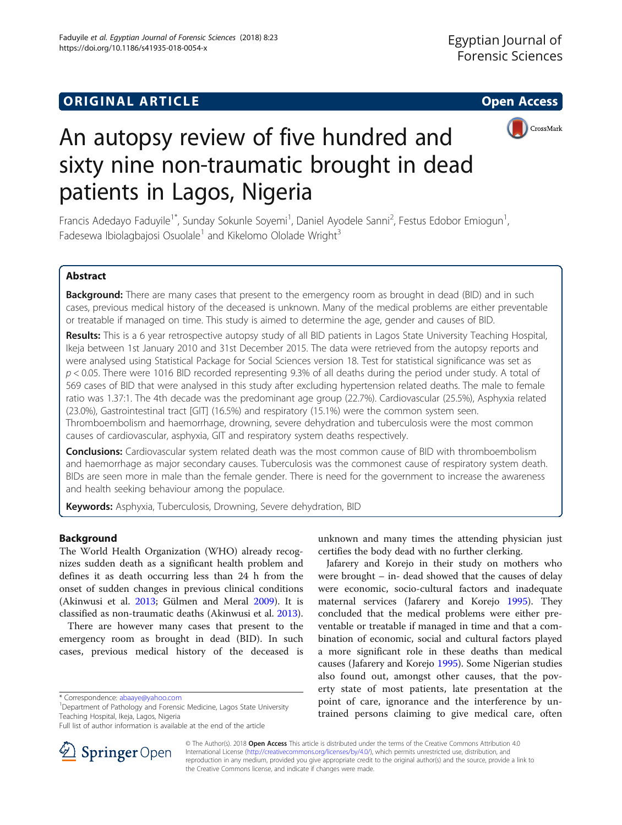# **ORIGINAL ARTICLE CONSERVANCE IN A LOCAL CONSERVANCE IN A LOCAL CONSERVANCE IN A LOCAL CONSERVANCE IN A LOCAL CONS**



# An autopsy review of five hundred and sixty nine non-traumatic brought in dead patients in Lagos, Nigeria

Francis Adedayo Faduyile<sup>1\*</sup>, Sunday Sokunle Soyemi<sup>1</sup>, Daniel Ayodele Sanni<sup>2</sup>, Festus Edobor Emiogun<sup>1</sup> , Fadesewa Ibiolagbajosi Osuolale<sup>1</sup> and Kikelomo Ololade Wright<sup>3</sup>

## Abstract

Background: There are many cases that present to the emergency room as brought in dead (BID) and in such cases, previous medical history of the deceased is unknown. Many of the medical problems are either preventable or treatable if managed on time. This study is aimed to determine the age, gender and causes of BID.

Results: This is a 6 year retrospective autopsy study of all BID patients in Lagos State University Teaching Hospital, Ikeja between 1st January 2010 and 31st December 2015. The data were retrieved from the autopsy reports and were analysed using Statistical Package for Social Sciences version 18. Test for statistical significance was set as  $p < 0.05$ . There were 1016 BID recorded representing 9.3% of all deaths during the period under study. A total of 569 cases of BID that were analysed in this study after excluding hypertension related deaths. The male to female ratio was 1.37:1. The 4th decade was the predominant age group (22.7%). Cardiovascular (25.5%), Asphyxia related (23.0%), Gastrointestinal tract [GIT] (16.5%) and respiratory (15.1%) were the common system seen. Thromboembolism and haemorrhage, drowning, severe dehydration and tuberculosis were the most common causes of cardiovascular, asphyxia, GIT and respiratory system deaths respectively.

**Conclusions:** Cardiovascular system related death was the most common cause of BID with thromboembolism and haemorrhage as major secondary causes. Tuberculosis was the commonest cause of respiratory system death. BIDs are seen more in male than the female gender. There is need for the government to increase the awareness and health seeking behaviour among the populace.

Keywords: Asphyxia, Tuberculosis, Drowning, Severe dehydration, BID

## Background

The World Health Organization (WHO) already recognizes sudden death as a significant health problem and defines it as death occurring less than 24 h from the onset of sudden changes in previous clinical conditions (Akinwusi et al. [2013](#page-5-0); Gülmen and Meral [2009\)](#page-5-0). It is classified as non-traumatic deaths (Akinwusi et al. [2013](#page-5-0)).

There are however many cases that present to the emergency room as brought in dead (BID). In such cases, previous medical history of the deceased is

<sup>1</sup>Department of Pathology and Forensic Medicine, Lagos State University Teaching Hospital, Ikeja, Lagos, Nigeria

unknown and many times the attending physician just certifies the body dead with no further clerking.

Jafarery and Korejo in their study on mothers who were brought – in- dead showed that the causes of delay were economic, socio-cultural factors and inadequate maternal services (Jafarery and Korejo [1995](#page-5-0)). They concluded that the medical problems were either preventable or treatable if managed in time and that a combination of economic, social and cultural factors played a more significant role in these deaths than medical causes (Jafarery and Korejo [1995\)](#page-5-0). Some Nigerian studies also found out, amongst other causes, that the poverty state of most patients, late presentation at the point of care, ignorance and the interference by untrained persons claiming to give medical care, often



© The Author(s). 2018 Open Access This article is distributed under the terms of the Creative Commons Attribution 4.0 International License ([http://creativecommons.org/licenses/by/4.0/\)](http://creativecommons.org/licenses/by/4.0/), which permits unrestricted use, distribution, and reproduction in any medium, provided you give appropriate credit to the original author(s) and the source, provide a link to the Creative Commons license, and indicate if changes were made.

<sup>\*</sup> Correspondence: [abaaye@yahoo.com](mailto:abaaye@yahoo.com) <sup>1</sup>

Full list of author information is available at the end of the article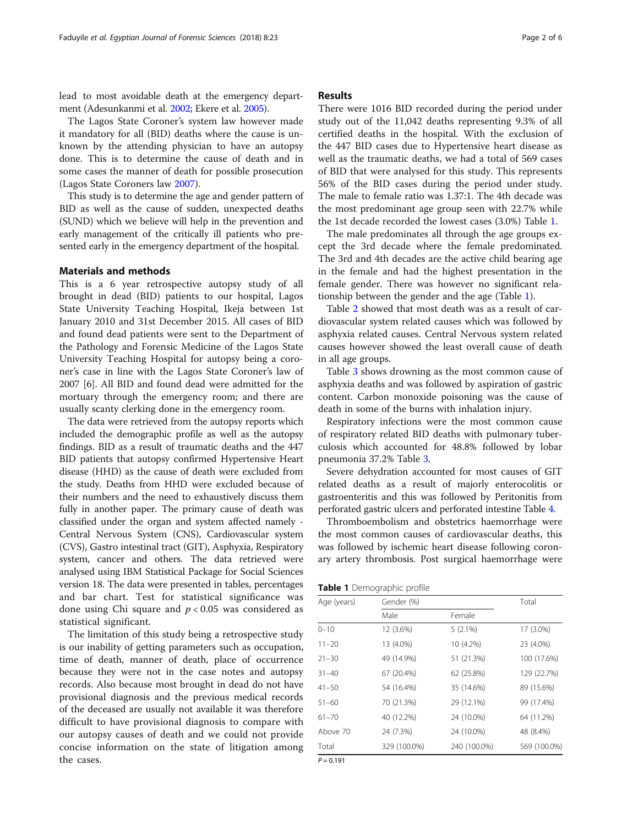lead to most avoidable death at the emergency department (Adesunkanmi et al. [2002](#page-5-0); Ekere et al. [2005\)](#page-5-0).

The Lagos State Coroner's system law however made it mandatory for all (BID) deaths where the cause is unknown by the attending physician to have an autopsy done. This is to determine the cause of death and in some cases the manner of death for possible prosecution (Lagos State Coroners law [2007\)](#page-5-0).

This study is to determine the age and gender pattern of BID as well as the cause of sudden, unexpected deaths (SUND) which we believe will help in the prevention and early management of the critically ill patients who presented early in the emergency department of the hospital.

## Materials and methods

This is a 6 year retrospective autopsy study of all brought in dead (BID) patients to our hospital, Lagos State University Teaching Hospital, Ikeja between 1st January 2010 and 31st December 2015. All cases of BID and found dead patients were sent to the Department of the Pathology and Forensic Medicine of the Lagos State University Teaching Hospital for autopsy being a coroner's case in line with the Lagos State Coroner's law of 2007 [6]. All BID and found dead were admitted for the mortuary through the emergency room; and there are usually scanty clerking done in the emergency room.

The data were retrieved from the autopsy reports which included the demographic profile as well as the autopsy findings. BID as a result of traumatic deaths and the 447 BID patients that autopsy confirmed Hypertensive Heart disease (HHD) as the cause of death were excluded from the study. Deaths from HHD were excluded because of their numbers and the need to exhaustively discuss them fully in another paper. The primary cause of death was classified under the organ and system affected namely - Central Nervous System (CNS), Cardiovascular system (CVS), Gastro intestinal tract (GIT), Asphyxia, Respiratory system, cancer and others. The data retrieved were analysed using IBM Statistical Package for Social Sciences version 18. The data were presented in tables, percentages and bar chart. Test for statistical significance was done using Chi square and  $p < 0.05$  was considered as statistical significant.

The limitation of this study being a retrospective study is our inability of getting parameters such as occupation, time of death, manner of death, place of occurrence because they were not in the case notes and autopsy records. Also because most brought in dead do not have provisional diagnosis and the previous medical records of the deceased are usually not available it was therefore difficult to have provisional diagnosis to compare with our autopsy causes of death and we could not provide concise information on the state of litigation among the cases.

## Results

There were 1016 BID recorded during the period under study out of the 11,042 deaths representing 9.3% of all certified deaths in the hospital. With the exclusion of the 447 BID cases due to Hypertensive heart disease as well as the traumatic deaths, we had a total of 569 cases of BID that were analysed for this study. This represents 56% of the BID cases during the period under study. The male to female ratio was 1.37:1. The 4th decade was the most predominant age group seen with 22.7% while the 1st decade recorded the lowest cases (3.0%) Table 1.

The male predominates all through the age groups except the 3rd decade where the female predominated. The 3rd and 4th decades are the active child bearing age in the female and had the highest presentation in the female gender. There was however no significant relationship between the gender and the age (Table 1).

Table [2](#page-2-0) showed that most death was as a result of cardiovascular system related causes which was followed by asphyxia related causes. Central Nervous system related causes however showed the least overall cause of death in all age groups.

Table [3](#page-2-0) shows drowning as the most common cause of asphyxia deaths and was followed by aspiration of gastric content. Carbon monoxide poisoning was the cause of death in some of the burns with inhalation injury.

Respiratory infections were the most common cause of respiratory related BID deaths with pulmonary tuberculosis which accounted for 48.8% followed by lobar pneumonia 37.2% Table [3](#page-2-0).

Severe dehydration accounted for most causes of GIT related deaths as a result of majorly enterocolitis or gastroenteritis and this was followed by Peritonitis from perforated gastric ulcers and perforated intestine Table [4](#page-2-0).

Thromboembolism and obstetrics haemorrhage were the most common causes of cardiovascular deaths, this was followed by ischemic heart disease following coronary artery thrombosis. Post surgical haemorrhage were

|  | Table 1 Demographic profile |  |
|--|-----------------------------|--|

| Age (years) | Gender (%)   | Total        |              |
|-------------|--------------|--------------|--------------|
|             | Male         | Female       |              |
| $0 - 10$    | 12 (3.6%)    | $5(2.1\%)$   | 17 (3.0%)    |
| $11 - 20$   | 13 (4.0%)    | 10 (4.2%)    | 23 (4.0%)    |
| $21 - 30$   | 49 (14.9%)   | 51 (21.3%)   | 100 (17.6%)  |
| $31 - 40$   | 67 (20.4%)   | 62 (25.8%)   | 129 (22.7%)  |
| $41 - 50$   | 54 (16.4%)   | 35 (14.6%)   | 89 (15.6%)   |
| $51 - 60$   | 70 (21.3%)   | 29 (12.1%)   | 99 (17.4%)   |
| $61 - 70$   | 40 (12.2%)   | 24 (10.0%)   | 64 (11.2%)   |
| Above 70    | 24 (7.3%)    | 24 (10.0%)   | 48 (8.4%)    |
| Total       | 329 (100.0%) | 240 (100.0%) | 569 (100.0%) |
| $P = 0.191$ |              |              |              |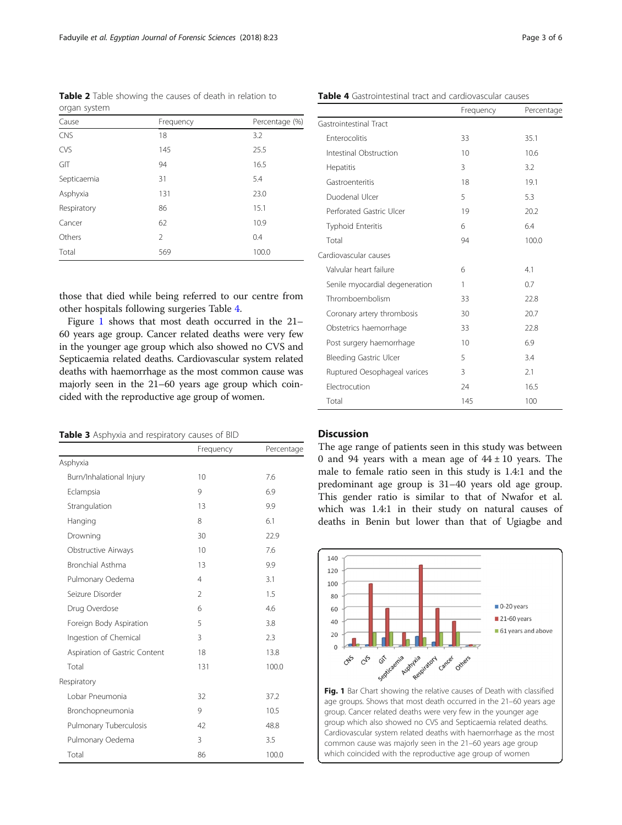<span id="page-2-0"></span>Table 2 Table showing the causes of death in relation to organ system

| Cause       | Frequency | Percentage (%) |
|-------------|-----------|----------------|
| CNS         | 18        | 3.2            |
| CVS         | 145       | 25.5           |
| GIT         | 94        | 16.5           |
| Septicaemia | 31        | 5.4            |
| Asphyxia    | 131       | 23.0           |
| Respiratory | 86        | 15.1           |
| Cancer      | 62        | 10.9           |
| Others      | 2         | 0.4            |
| Total       | 569       | 100.0          |

those that died while being referred to our centre from other hospitals following surgeries Table 4.

Figure 1 shows that most death occurred in the 21– 60 years age group. Cancer related deaths were very few in the younger age group which also showed no CVS and Septicaemia related deaths. Cardiovascular system related deaths with haemorrhage as the most common cause was majorly seen in the 21–60 years age group which coincided with the reproductive age group of women.

## Table 3 Asphyxia and respiratory causes of BID

|                               | Frequency      | Percentage |
|-------------------------------|----------------|------------|
| Asphyxia                      |                |            |
| Burn/Inhalational Injury      | 10             | 7.6        |
| Eclampsia                     | 9              | 6.9        |
| Strangulation                 | 13             | 9.9        |
| Hanging                       | 8              | 6.1        |
| Drowning                      | 30             | 22.9       |
| Obstructive Airways           | 10             | 7.6        |
| Bronchial Asthma              | 13             | 9.9        |
| Pulmonary Oedema              | $\overline{4}$ | 3.1        |
| Seizure Disorder              | 2              | 1.5        |
| Drug Overdose                 | 6              | 4.6        |
| Foreign Body Aspiration       | 5              | 3.8        |
| Ingestion of Chemical         | 3              | 2.3        |
| Aspiration of Gastric Content | 18             | 13.8       |
| Total                         | 131            | 100.0      |
| Respiratory                   |                |            |
| Lobar Pneumonia               | 32             | 37.2       |
| Bronchopneumonia              | 9              | 10.5       |
| Pulmonary Tuberculosis        | 42             | 48.8       |
| Pulmonary Oedema              | 3              | 3.5        |
| Total                         | 86             | 100.0      |

|                        | Frequency | Percentage |
|------------------------|-----------|------------|
| Gastrointestinal Tract |           |            |
| <b>Enterocolitis</b>   | 33        | 35.1       |
| Intestinal Obstruction | 10        | 10.6       |
| <b>Hepatitis</b>       | 3         | 3.2        |
| Gastroenteritis        | 18        | 191        |

Duodenal Ulcer 5 5.3 Perforated Gastric Ulcer 19 19 20.2 Typhoid Enteritis 6 6.4 Total 94 100.0

Valvular heart failure 6 6 4.1 Senile myocardial degeneration 1 0.7 Thromboembolism 33 22.8 Coronary artery thrombosis 30 30 20.7 Obstetrics haemorrhage 33 3 22.8 Post surgery haemorrhage 10 6.9 Bleeding Gastric Ulcer 5 5 3.4 Ruptured Oesophageal varices 3 2.1 Electrocution 24 16.5 Total 100

Cardiovascular causes

## **Discussion**

The age range of patients seen in this study was between 0 and 94 years with a mean age of  $44 \pm 10$  years. The male to female ratio seen in this study is 1.4:1 and the predominant age group is 31–40 years old age group. This gender ratio is similar to that of Nwafor et al. which was 1.4:1 in their study on natural causes of deaths in Benin but lower than that of Ugiagbe and





## Table 4 Gastrointestinal tract and cardiovascular causes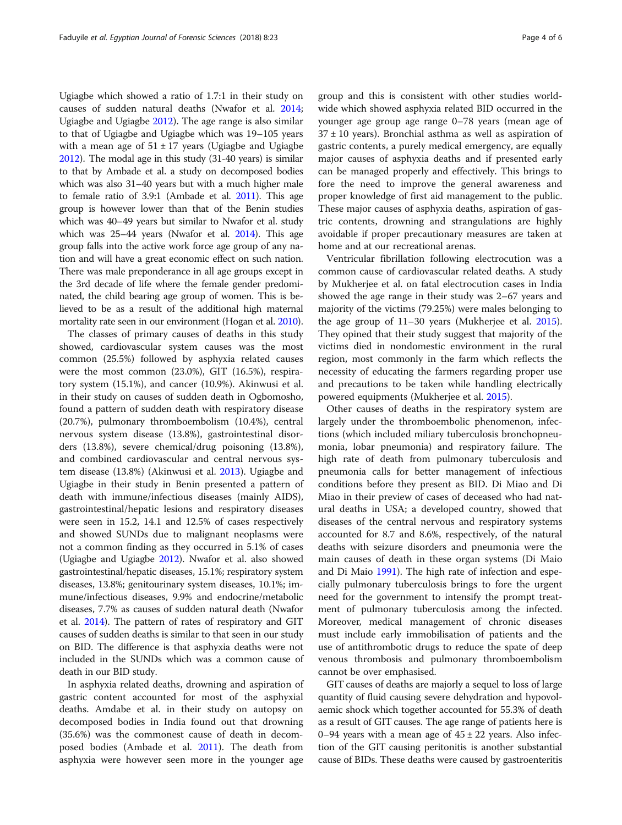Ugiagbe which showed a ratio of 1.7:1 in their study on causes of sudden natural deaths (Nwafor et al. [2014](#page-5-0); Ugiagbe and Ugiagbe [2012\)](#page-5-0). The age range is also similar to that of Ugiagbe and Ugiagbe which was 19–105 years with a mean age of  $51 \pm 17$  years (Ugiagbe and Ugiagbe [2012](#page-5-0)). The modal age in this study (31-40 years) is similar to that by Ambade et al. a study on decomposed bodies which was also 31–40 years but with a much higher male to female ratio of 3.9:1 (Ambade et al. [2011](#page-5-0)). This age group is however lower than that of the Benin studies which was 40–49 years but similar to Nwafor et al. study which was 25–44 years (Nwafor et al. [2014](#page-5-0)). This age group falls into the active work force age group of any nation and will have a great economic effect on such nation. There was male preponderance in all age groups except in the 3rd decade of life where the female gender predominated, the child bearing age group of women. This is believed to be as a result of the additional high maternal mortality rate seen in our environment (Hogan et al. [2010](#page-5-0)).

The classes of primary causes of deaths in this study showed, cardiovascular system causes was the most common (25.5%) followed by asphyxia related causes were the most common (23.0%), GIT (16.5%), respiratory system (15.1%), and cancer (10.9%). Akinwusi et al. in their study on causes of sudden death in Ogbomosho, found a pattern of sudden death with respiratory disease (20.7%), pulmonary thromboembolism (10.4%), central nervous system disease (13.8%), gastrointestinal disorders (13.8%), severe chemical/drug poisoning (13.8%), and combined cardiovascular and central nervous system disease (13.8%) (Akinwusi et al. [2013](#page-5-0)). Ugiagbe and Ugiagbe in their study in Benin presented a pattern of death with immune/infectious diseases (mainly AIDS), gastrointestinal/hepatic lesions and respiratory diseases were seen in 15.2, 14.1 and 12.5% of cases respectively and showed SUNDs due to malignant neoplasms were not a common finding as they occurred in 5.1% of cases (Ugiagbe and Ugiagbe [2012\)](#page-5-0). Nwafor et al. also showed gastrointestinal/hepatic diseases, 15.1%; respiratory system diseases, 13.8%; genitourinary system diseases, 10.1%; immune/infectious diseases, 9.9% and endocrine/metabolic diseases, 7.7% as causes of sudden natural death (Nwafor et al. [2014](#page-5-0)). The pattern of rates of respiratory and GIT causes of sudden deaths is similar to that seen in our study on BID. The difference is that asphyxia deaths were not included in the SUNDs which was a common cause of death in our BID study.

In asphyxia related deaths, drowning and aspiration of gastric content accounted for most of the asphyxial deaths. Amdabe et al. in their study on autopsy on decomposed bodies in India found out that drowning (35.6%) was the commonest cause of death in decomposed bodies (Ambade et al. [2011](#page-5-0)). The death from asphyxia were however seen more in the younger age group and this is consistent with other studies worldwide which showed asphyxia related BID occurred in the younger age group age range 0–78 years (mean age of  $37 \pm 10$  years). Bronchial asthma as well as aspiration of gastric contents, a purely medical emergency, are equally major causes of asphyxia deaths and if presented early can be managed properly and effectively. This brings to fore the need to improve the general awareness and proper knowledge of first aid management to the public. These major causes of asphyxia deaths, aspiration of gastric contents, drowning and strangulations are highly avoidable if proper precautionary measures are taken at home and at our recreational arenas.

Ventricular fibrillation following electrocution was a common cause of cardiovascular related deaths. A study by Mukherjee et al. on fatal electrocution cases in India showed the age range in their study was 2–67 years and majority of the victims (79.25%) were males belonging to the age group of 11–30 years (Mukherjee et al. [2015](#page-5-0)). They opined that their study suggest that majority of the victims died in nondomestic environment in the rural region, most commonly in the farm which reflects the necessity of educating the farmers regarding proper use and precautions to be taken while handling electrically powered equipments (Mukherjee et al. [2015\)](#page-5-0).

Other causes of deaths in the respiratory system are largely under the thromboembolic phenomenon, infections (which included miliary tuberculosis bronchopneumonia, lobar pneumonia) and respiratory failure. The high rate of death from pulmonary tuberculosis and pneumonia calls for better management of infectious conditions before they present as BID. Di Miao and Di Miao in their preview of cases of deceased who had natural deaths in USA; a developed country, showed that diseases of the central nervous and respiratory systems accounted for 8.7 and 8.6%, respectively, of the natural deaths with seizure disorders and pneumonia were the main causes of death in these organ systems (Di Maio and Di Maio [1991](#page-5-0)). The high rate of infection and especially pulmonary tuberculosis brings to fore the urgent need for the government to intensify the prompt treatment of pulmonary tuberculosis among the infected. Moreover, medical management of chronic diseases must include early immobilisation of patients and the use of antithrombotic drugs to reduce the spate of deep venous thrombosis and pulmonary thromboembolism cannot be over emphasised.

GIT causes of deaths are majorly a sequel to loss of large quantity of fluid causing severe dehydration and hypovolaemic shock which together accounted for 55.3% of death as a result of GIT causes. The age range of patients here is 0–94 years with a mean age of  $45 \pm 22$  years. Also infection of the GIT causing peritonitis is another substantial cause of BIDs. These deaths were caused by gastroenteritis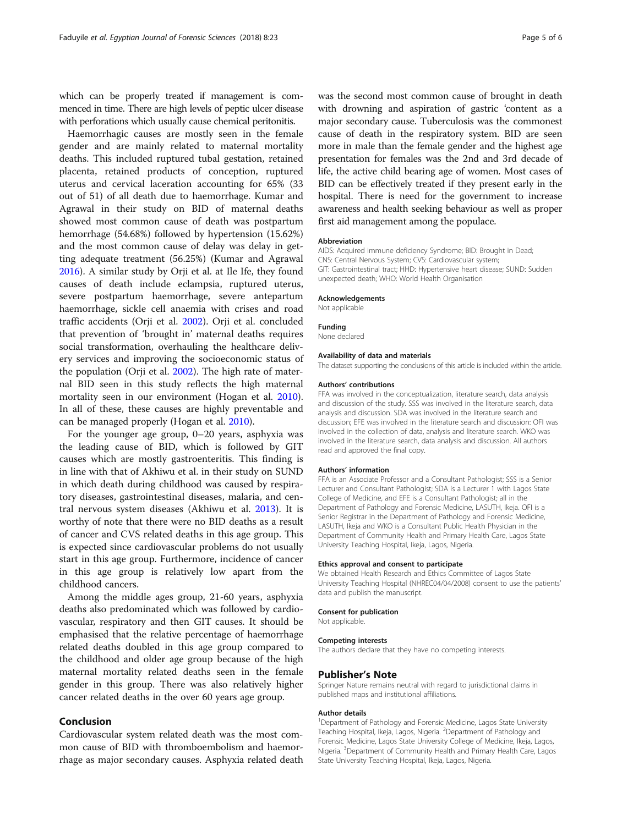which can be properly treated if management is commenced in time. There are high levels of peptic ulcer disease with perforations which usually cause chemical peritonitis.

Haemorrhagic causes are mostly seen in the female gender and are mainly related to maternal mortality deaths. This included ruptured tubal gestation, retained placenta, retained products of conception, ruptured uterus and cervical laceration accounting for 65% (33 out of 51) of all death due to haemorrhage. Kumar and Agrawal in their study on BID of maternal deaths showed most common cause of death was postpartum hemorrhage (54.68%) followed by hypertension (15.62%) and the most common cause of delay was delay in getting adequate treatment (56.25%) (Kumar and Agrawal [2016](#page-5-0)). A similar study by Orji et al. at Ile Ife, they found causes of death include eclampsia, ruptured uterus, severe postpartum haemorrhage, severe antepartum haemorrhage, sickle cell anaemia with crises and road traffic accidents (Orji et al. [2002](#page-5-0)). Orji et al. concluded that prevention of 'brought in' maternal deaths requires social transformation, overhauling the healthcare delivery services and improving the socioeconomic status of the population (Orji et al. [2002\)](#page-5-0). The high rate of maternal BID seen in this study reflects the high maternal mortality seen in our environment (Hogan et al. [2010](#page-5-0)). In all of these, these causes are highly preventable and can be managed properly (Hogan et al. [2010\)](#page-5-0).

For the younger age group, 0–20 years, asphyxia was the leading cause of BID, which is followed by GIT causes which are mostly gastroenteritis. This finding is in line with that of Akhiwu et al. in their study on SUND in which death during childhood was caused by respiratory diseases, gastrointestinal diseases, malaria, and central nervous system diseases (Akhiwu et al. [2013](#page-5-0)). It is worthy of note that there were no BID deaths as a result of cancer and CVS related deaths in this age group. This is expected since cardiovascular problems do not usually start in this age group. Furthermore, incidence of cancer in this age group is relatively low apart from the childhood cancers.

Among the middle ages group, 21-60 years, asphyxia deaths also predominated which was followed by cardiovascular, respiratory and then GIT causes. It should be emphasised that the relative percentage of haemorrhage related deaths doubled in this age group compared to the childhood and older age group because of the high maternal mortality related deaths seen in the female gender in this group. There was also relatively higher cancer related deaths in the over 60 years age group.

## Conclusion

Cardiovascular system related death was the most common cause of BID with thromboembolism and haemorrhage as major secondary causes. Asphyxia related death

was the second most common cause of brought in death with drowning and aspiration of gastric 'content as a major secondary cause. Tuberculosis was the commonest cause of death in the respiratory system. BID are seen more in male than the female gender and the highest age presentation for females was the 2nd and 3rd decade of life, the active child bearing age of women. Most cases of BID can be effectively treated if they present early in the hospital. There is need for the government to increase awareness and health seeking behaviour as well as proper first aid management among the populace.

#### Abbreviation

AIDS: Acquired immune deficiency Syndrome; BID: Brought in Dead; CNS: Central Nervous System; CVS: Cardiovascular system; GIT: Gastrointestinal tract; HHD: Hypertensive heart disease; SUND: Sudden unexpected death; WHO: World Health Organisation

#### Acknowledgements

Not applicable

#### Funding

None declared

#### Availability of data and materials

The dataset supporting the conclusions of this article is included within the article.

#### Authors' contributions

FFA was involved in the conceptualization, literature search, data analysis and discussion of the study. SSS was involved in the literature search, data analysis and discussion. SDA was involved in the literature search and discussion; EFE was involved in the literature search and discussion: OFI was involved in the collection of data, analysis and literature search. WKO was involved in the literature search, data analysis and discussion. All authors read and approved the final copy.

#### Authors' information

FFA is an Associate Professor and a Consultant Pathologist; SSS is a Senior Lecturer and Consultant Pathologist; SDA is a Lecturer 1 with Lagos State College of Medicine, and EFE is a Consultant Pathologist; all in the Department of Pathology and Forensic Medicine, LASUTH, Ikeja. OFI is a Senior Registrar in the Department of Pathology and Forensic Medicine, LASUTH, Ikeja and WKO is a Consultant Public Health Physician in the Department of Community Health and Primary Health Care, Lagos State University Teaching Hospital, Ikeja, Lagos, Nigeria.

#### Ethics approval and consent to participate

We obtained Health Research and Ethics Committee of Lagos State University Teaching Hospital (NHREC04/04/2008) consent to use the patients' data and publish the manuscript.

#### Consent for publication

Not applicable.

## Competing interests

The authors declare that they have no competing interests.

#### Publisher's Note

Springer Nature remains neutral with regard to jurisdictional claims in published maps and institutional affiliations.

#### Author details

<sup>1</sup>Department of Pathology and Forensic Medicine, Lagos State University Teaching Hospital, Ikeja, Lagos, Nigeria. <sup>2</sup>Department of Pathology and Forensic Medicine, Lagos State University College of Medicine, Ikeja, Lagos, Nigeria. <sup>3</sup> Department of Community Health and Primary Health Care, Lagos State University Teaching Hospital, Ikeja, Lagos, Nigeria.